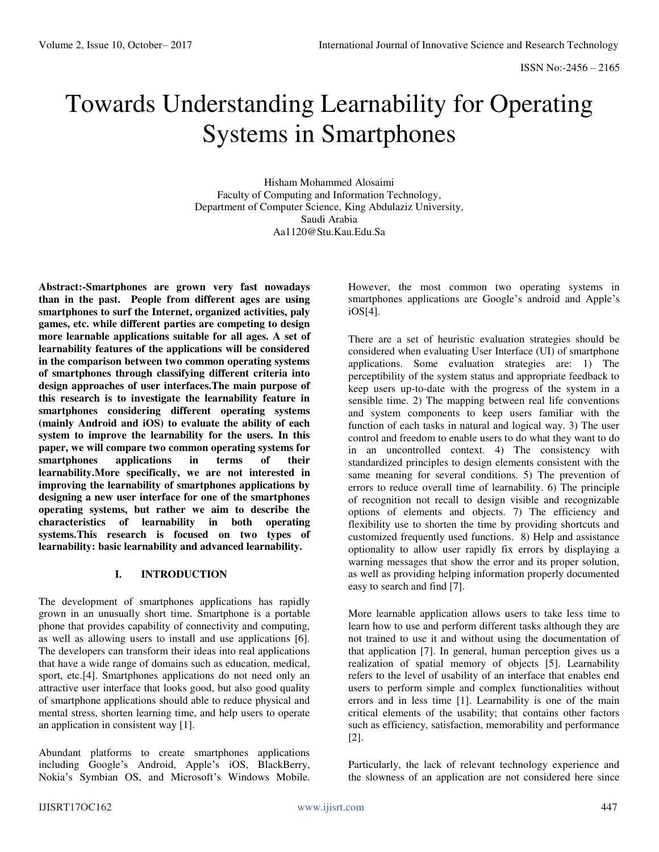# Towards Understanding Learnability for Operating Systems in Smartphones

Hisham Mohammed Alosaimi Faculty of Computing and Information Technology, Department of Computer Science, King Abdulaziz University, Saudi Arabia Aa1120@Stu.Kau.Edu.Sa

**Abstract:-Smartphones are grown very fast nowadays than in the past. People from different ages are using smartphones to surf the Internet, organized activities, paly games, etc. while different parties are competing to design more learnable applications suitable for all ages. A set of learnability features of the applications will be considered in the comparison between two common operating systems of smartphones through classifying different criteria into design approaches of user interfaces.The main purpose of this research is to investigate the learnability feature in smartphones considering different operating systems (mainly Android and iOS) to evaluate the ability of each system to improve the learnability for the users. In this paper, we will compare two common operating systems for smartphones applications in terms of their learnability.More specifically, we are not interested in improving the learnability of smartphones applications by designing a new user interface for one of the smartphones operating systems, but rather we aim to describe the characteristics of learnability in both operating systems.This research is focused on two types of learnability: basic learnability and advanced learnability.** 

## **I. INTRODUCTION**

The development of smartphones applications has rapidly grown in an unusually short time. Smartphone is a portable phone that provides capability of connectivity and computing, as well as allowing users to install and use applications [6]. The developers can transform their ideas into real applications that have a wide range of domains such as education, medical, sport, etc.[4]. Smartphones applications do not need only an attractive user interface that looks good, but also good quality of smartphone applications should able to reduce physical and mental stress, shorten learning time, and help users to operate an application in consistent way [1].

Abundant platforms to create smartphones applications including Google's Android, Apple's iOS, BlackBerry, Nokia's Symbian OS, and Microsoft's Windows Mobile. However, the most common two operating systems in smartphones applications are Google's android and Apple's iOS[4].

There are a set of heuristic evaluation strategies should be considered when evaluating User Interface (UI) of smartphone applications. Some evaluation strategies are: 1) The perceptibility of the system status and appropriate feedback to keep users up-to-date with the progress of the system in a sensible time. 2) The mapping between real life conventions and system components to keep users familiar with the function of each tasks in natural and logical way. 3) The user control and freedom to enable users to do what they want to do in an uncontrolled context. 4) The consistency with standardized principles to design elements consistent with the same meaning for several conditions. 5) The prevention of errors to reduce overall time of learnability. 6) The principle of recognition not recall to design visible and recognizable options of elements and objects. 7) The efficiency and flexibility use to shorten the time by providing shortcuts and customized frequently used functions. 8) Help and assistance optionality to allow user rapidly fix errors by displaying a warning messages that show the error and its proper solution, as well as providing helping information properly documented easy to search and find [7].

More learnable application allows users to take less time to learn how to use and perform different tasks although they are not trained to use it and without using the documentation of that application [7]. In general, human perception gives us a realization of spatial memory of objects [5]. Learnability refers to the level of usability of an interface that enables end users to perform simple and complex functionalities without errors and in less time [1]. Learnability is one of the main critical elements of the usability; that contains other factors such as efficiency, satisfaction, memorability and performance [2].

Particularly, the lack of relevant technology experience and the slowness of an application are not considered here since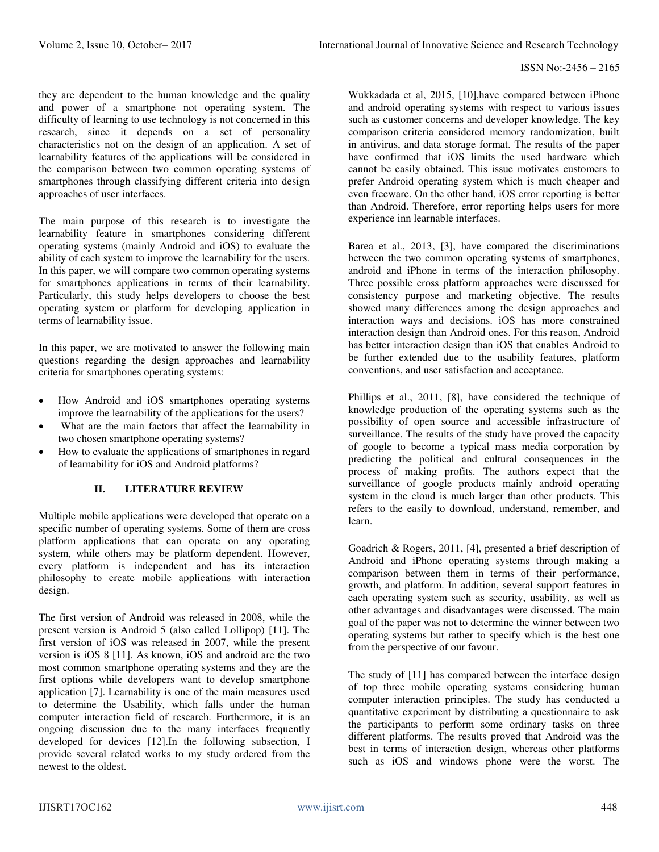they are dependent to the human knowledge and the quality and power of a smartphone not operating system. The difficulty of learning to use technology is not concerned in this research, since it depends on a set of personality characteristics not on the design of an application. A set of learnability features of the applications will be considered in the comparison between two common operating systems of smartphones through classifying different criteria into design approaches of user interfaces.

The main purpose of this research is to investigate the learnability feature in smartphones considering different operating systems (mainly Android and iOS) to evaluate the ability of each system to improve the learnability for the users. In this paper, we will compare two common operating systems for smartphones applications in terms of their learnability. Particularly, this study helps developers to choose the best operating system or platform for developing application in terms of learnability issue.

In this paper, we are motivated to answer the following main questions regarding the design approaches and learnability criteria for smartphones operating systems:

- How Android and iOS smartphones operating systems improve the learnability of the applications for the users?
- What are the main factors that affect the learnability in two chosen smartphone operating systems?
- How to evaluate the applications of smartphones in regard of learnability for iOS and Android platforms?

## **II. LITERATURE REVIEW**

Multiple mobile applications were developed that operate on a specific number of operating systems. Some of them are cross platform applications that can operate on any operating system, while others may be platform dependent. However, every platform is independent and has its interaction philosophy to create mobile applications with interaction design.

The first version of Android was released in 2008, while the present version is Android 5 (also called Lollipop) [11]. The first version of iOS was released in 2007, while the present version is iOS 8 [11]. As known, iOS and android are the two most common smartphone operating systems and they are the first options while developers want to develop smartphone application [7]. Learnability is one of the main measures used to determine the Usability, which falls under the human computer interaction field of research. Furthermore, it is an ongoing discussion due to the many interfaces frequently developed for devices [12].In the following subsection, I provide several related works to my study ordered from the newest to the oldest.

Wukkadada et al, 2015, [10],have compared between iPhone and android operating systems with respect to various issues such as customer concerns and developer knowledge. The key comparison criteria considered memory randomization, built in antivirus, and data storage format. The results of the paper have confirmed that iOS limits the used hardware which cannot be easily obtained. This issue motivates customers to prefer Android operating system which is much cheaper and even freeware. On the other hand, iOS error reporting is better than Android. Therefore, error reporting helps users for more experience inn learnable interfaces.

Barea et al., 2013, [3], have compared the discriminations between the two common operating systems of smartphones, android and iPhone in terms of the interaction philosophy. Three possible cross platform approaches were discussed for consistency purpose and marketing objective. The results showed many differences among the design approaches and interaction ways and decisions. iOS has more constrained interaction design than Android ones. For this reason, Android has better interaction design than iOS that enables Android to be further extended due to the usability features, platform conventions, and user satisfaction and acceptance.

Phillips et al., 2011, [8], have considered the technique of knowledge production of the operating systems such as the possibility of open source and accessible infrastructure of surveillance. The results of the study have proved the capacity of google to become a typical mass media corporation by predicting the political and cultural consequences in the process of making profits. The authors expect that the surveillance of google products mainly android operating system in the cloud is much larger than other products. This refers to the easily to download, understand, remember, and learn.

Goadrich & Rogers, 2011, [4], presented a brief description of Android and iPhone operating systems through making a comparison between them in terms of their performance, growth, and platform. In addition, several support features in each operating system such as security, usability, as well as other advantages and disadvantages were discussed. The main goal of the paper was not to determine the winner between two operating systems but rather to specify which is the best one from the perspective of our favour.

The study of [11] has compared between the interface design of top three mobile operating systems considering human computer interaction principles. The study has conducted a quantitative experiment by distributing a questionnaire to ask the participants to perform some ordinary tasks on three different platforms. The results proved that Android was the best in terms of interaction design, whereas other platforms such as iOS and windows phone were the worst. The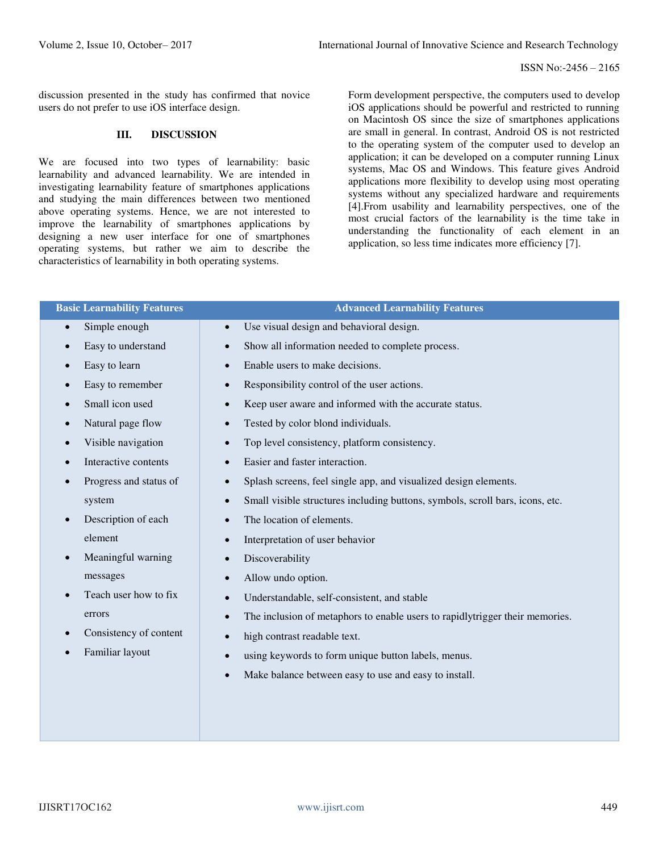discussion presented in the study has confirmed that novice users do not prefer to use iOS interface design.

#### **III. DISCUSSION**

We are focused into two types of learnability: basic learnability and advanced learnability. We are intended in investigating learnability feature of smartphones applications and studying the main differences between two mentioned above operating systems. Hence, we are not interested to improve the learnability of smartphones applications by designing a new user interface for one of smartphones operating systems, but rather we aim to describe the characteristics of learnability in both operating systems.

Form development perspective, the computers used to develop iOS applications should be powerful and restricted to running on Macintosh OS since the size of smartphones applications are small in general. In contrast, Android OS is not restricted to the operating system of the computer used to develop an application; it can be developed on a computer running Linux systems, Mac OS and Windows. This feature gives Android applications more flexibility to develop using most operating systems without any specialized hardware and requirements [4].From usability and learnability perspectives, one of the most crucial factors of the learnability is the time take in understanding the functionality of each element in an application, so less time indicates more efficiency [7].

| <b>Basic Learnability Features</b>  | <b>Advanced Learnability Features</b>                                                      |  |  |
|-------------------------------------|--------------------------------------------------------------------------------------------|--|--|
| Simple enough                       | Use visual design and behavioral design.                                                   |  |  |
| $\bullet$                           | $\bullet$                                                                                  |  |  |
| Easy to understand                  | Show all information needed to complete process.                                           |  |  |
| $\bullet$                           | $\bullet$                                                                                  |  |  |
| Easy to learn                       | Enable users to make decisions.                                                            |  |  |
| $\bullet$                           | $\bullet$                                                                                  |  |  |
| Easy to remember                    | Responsibility control of the user actions.                                                |  |  |
| $\bullet$                           | $\bullet$                                                                                  |  |  |
| Small icon used                     | Keep user aware and informed with the accurate status.                                     |  |  |
| $\bullet$                           | $\bullet$                                                                                  |  |  |
| Natural page flow                   | Tested by color blond individuals.                                                         |  |  |
| $\bullet$                           | $\bullet$                                                                                  |  |  |
| Visible navigation                  | Top level consistency, platform consistency.                                               |  |  |
| $\bullet$                           | $\bullet$                                                                                  |  |  |
| Interactive contents                | Easier and faster interaction.                                                             |  |  |
| $\bullet$                           | $\bullet$                                                                                  |  |  |
| Progress and status of<br>$\bullet$ | Splash screens, feel single app, and visualized design elements.                           |  |  |
| system                              | Small visible structures including buttons, symbols, scroll bars, icons, etc.<br>$\bullet$ |  |  |
| Description of each                 | The location of elements.                                                                  |  |  |
| $\bullet$                           | $\bullet$                                                                                  |  |  |
| element                             | Interpretation of user behavior<br>$\bullet$                                               |  |  |
| Meaningful warning                  | Discoverability                                                                            |  |  |
| $\bullet$                           | $\bullet$                                                                                  |  |  |
| messages                            | Allow undo option.<br>$\bullet$                                                            |  |  |
| Teach user how to fix               | Understandable, self-consistent, and stable                                                |  |  |
| $\bullet$                           | $\bullet$                                                                                  |  |  |
| errors                              | The inclusion of metaphors to enable users to rapidlytrigger their memories.<br>$\bullet$  |  |  |
| Consistency of content              | high contrast readable text.                                                               |  |  |
| $\bullet$                           | $\bullet$                                                                                  |  |  |
| Familiar layout                     | using keywords to form unique button labels, menus.                                        |  |  |
| $\bullet$                           | $\bullet$                                                                                  |  |  |
|                                     | Make balance between easy to use and easy to install.<br>$\bullet$                         |  |  |
|                                     |                                                                                            |  |  |
|                                     |                                                                                            |  |  |
|                                     |                                                                                            |  |  |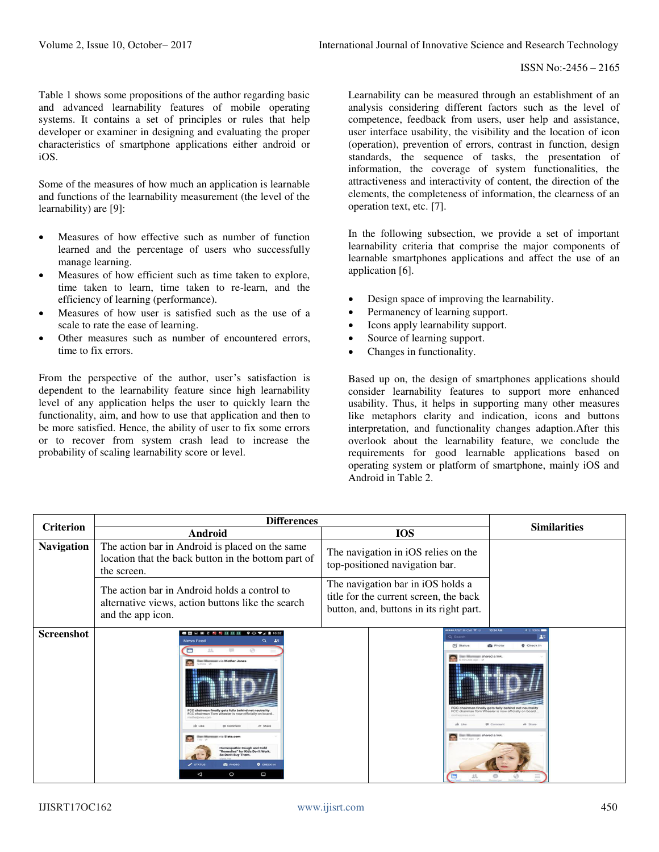Table 1 shows some propositions of the author regarding basic and advanced learnability features of mobile operating systems. It contains a set of principles or rules that help developer or examiner in designing and evaluating the proper characteristics of smartphone applications either android or iOS.

Some of the measures of how much an application is learnable and functions of the learnability measurement (the level of the learnability) are [9]:

- Measures of how effective such as number of function learned and the percentage of users who successfully manage learning.
- Measures of how efficient such as time taken to explore, time taken to learn, time taken to re-learn, and the efficiency of learning (performance).
- Measures of how user is satisfied such as the use of a scale to rate the ease of learning.
- Other measures such as number of encountered errors, time to fix errors.

From the perspective of the author, user's satisfaction is dependent to the learnability feature since high learnability level of any application helps the user to quickly learn the functionality, aim, and how to use that application and then to be more satisfied. Hence, the ability of user to fix some errors or to recover from system crash lead to increase the probability of scaling learnability score or level.

Learnability can be measured through an establishment of an analysis considering different factors such as the level of competence, feedback from users, user help and assistance, user interface usability, the visibility and the location of icon (operation), prevention of errors, contrast in function, design standards, the sequence of tasks, the presentation of information, the coverage of system functionalities, the attractiveness and interactivity of content, the direction of the elements, the completeness of information, the clearness of an operation text, etc. [7].

In the following subsection, we provide a set of important learnability criteria that comprise the major components of learnable smartphones applications and affect the use of an application [6].

- Design space of improving the learnability.
- Permanency of learning support.
- Icons apply learnability support.
- Source of learning support.
- Changes in functionality.

Based up on, the design of smartphones applications should consider learnability features to support more enhanced usability. Thus, it helps in supporting many other measures like metaphors clarity and indication, icons and buttons interpretation, and functionality changes adaption.After this overlook about the learnability feature, we conclude the requirements for good learnable applications based on operating system or platform of smartphone, mainly iOS and Android in Table 2.

|                   | <b>Differences</b>                                                                                                                                                                                                                                                                                                                                                                                                                                                                                   |                                                                                                                                                                       |                                                                                                                                                                                                                              |
|-------------------|------------------------------------------------------------------------------------------------------------------------------------------------------------------------------------------------------------------------------------------------------------------------------------------------------------------------------------------------------------------------------------------------------------------------------------------------------------------------------------------------------|-----------------------------------------------------------------------------------------------------------------------------------------------------------------------|------------------------------------------------------------------------------------------------------------------------------------------------------------------------------------------------------------------------------|
| <b>Criterion</b>  | <b>Android</b>                                                                                                                                                                                                                                                                                                                                                                                                                                                                                       | <b>IOS</b>                                                                                                                                                            | <b>Similarities</b>                                                                                                                                                                                                          |
| <b>Navigation</b> | The action bar in Android is placed on the same<br>location that the back button in the bottom part of<br>the screen.                                                                                                                                                                                                                                                                                                                                                                                | The navigation in iOS relies on the<br>top-positioned navigation bar.                                                                                                 |                                                                                                                                                                                                                              |
|                   | The action bar in Android holds a control to<br>alternative views, action buttons like the search<br>and the app icon.                                                                                                                                                                                                                                                                                                                                                                               | The navigation bar in iOS holds a<br>title for the current screen, the back<br>button, and, buttons in its right part.                                                |                                                                                                                                                                                                                              |
| <b>Screenshot</b> | ● 第 □ ● で 約 時 班 田 田<br>$9$ O $\nabla$ $\angle$ 10:32<br>Q<br><b>News Feed</b><br>45<br>21<br>$\equiv$<br>$\sqrt{2}$<br><b>Ilian Muranzo:</b> via Mother Jones<br>FCC chairman finally gets fully behind net neutrality<br>FCC chairman Tom Wheeler is now officially on board.<br>motheringen co.<br>dr Share<br>wia Slate.com<br><b>Iomeopathic Cough and Cold</b><br>Remedies" for Kids Don't Work.<br>So Don't Buy Them<br>STATUS<br>$Q$ CHECK IN<br><b>EQ PHOTO</b><br>O<br>Ο<br>$\triangleleft$ | <b>HOOR ATAT M-Call ? OF</b><br>Q Search<br>□ Status<br>ian illiumnam shared a link<br>modificazionese inner<br>Illian Miumman shared a link.<br>1 hour ago - in<br>巴 | 10:34 AM<br>$+100%$<br>上三<br><b>Q</b> Photo<br><b>Q</b> Check In<br>FCC chairman finally gets fully behind net neutrality<br>FCC chairman Tom Wheeler is now officially on board.<br>A Share<br><b>III</b> Commen<br>$\circ$ |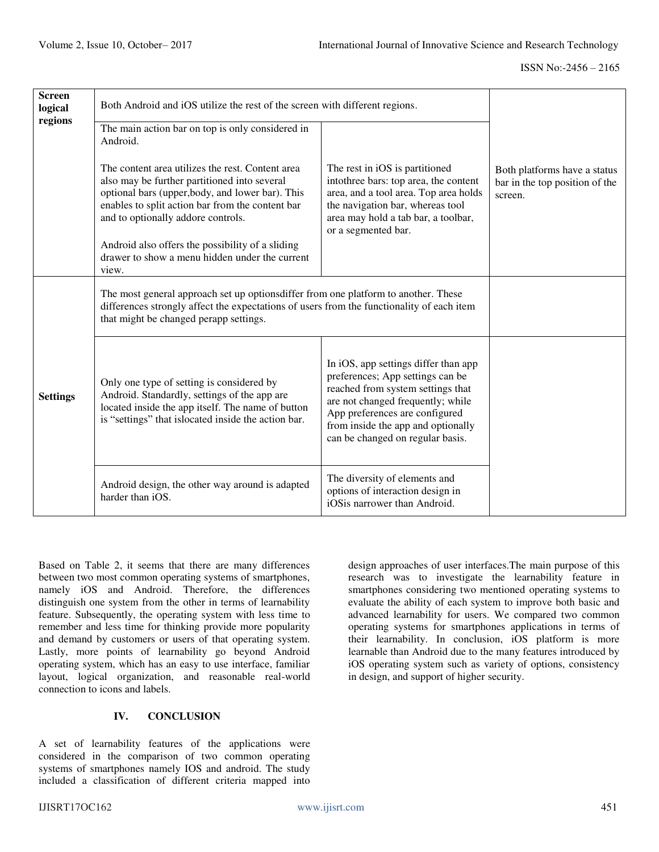| <b>Screen</b><br>logical | Both Android and iOS utilize the rest of the screen with different regions.                                                                                                                                                                   |                                                                                                                                                                                                                                                                |                                                                           |
|--------------------------|-----------------------------------------------------------------------------------------------------------------------------------------------------------------------------------------------------------------------------------------------|----------------------------------------------------------------------------------------------------------------------------------------------------------------------------------------------------------------------------------------------------------------|---------------------------------------------------------------------------|
| regions                  | The main action bar on top is only considered in<br>Android.                                                                                                                                                                                  |                                                                                                                                                                                                                                                                |                                                                           |
|                          | The content area utilizes the rest. Content area<br>also may be further partitioned into several<br>optional bars (upper,body, and lower bar). This<br>enables to split action bar from the content bar<br>and to optionally addore controls. | The rest in iOS is partitioned<br>into<br>three bars: top area, the content<br>area, and a tool area. Top area holds<br>the navigation bar, whereas tool<br>area may hold a tab bar, a toolbar,<br>or a segmented bar.                                         | Both platforms have a status<br>bar in the top position of the<br>screen. |
|                          | Android also offers the possibility of a sliding<br>drawer to show a menu hidden under the current<br>view.                                                                                                                                   |                                                                                                                                                                                                                                                                |                                                                           |
|                          | The most general approach set up optionsdiffer from one platform to another. These<br>differences strongly affect the expectations of users from the functionality of each item<br>that might be changed perapp settings.                     |                                                                                                                                                                                                                                                                |                                                                           |
| <b>Settings</b>          | Only one type of setting is considered by<br>Android. Standardly, settings of the app are<br>located inside the app itself. The name of button<br>is "settings" that islocated inside the action bar.                                         | In iOS, app settings differ than app<br>preferences; App settings can be<br>reached from system settings that<br>are not changed frequently; while<br>App preferences are configured<br>from inside the app and optionally<br>can be changed on regular basis. |                                                                           |
|                          | Android design, the other way around is adapted<br>harder than iOS.                                                                                                                                                                           | The diversity of elements and<br>options of interaction design in<br>iOSis narrower than Android.                                                                                                                                                              |                                                                           |

Based on Table 2, it seems that there are many differences between two most common operating systems of smartphones, namely iOS and Android. Therefore, the differences distinguish one system from the other in terms of learnability feature. Subsequently, the operating system with less time to remember and less time for thinking provide more popularity and demand by customers or users of that operating system. Lastly, more points of learnability go beyond Android operating system, which has an easy to use interface, familiar layout, logical organization, and reasonable real-world connection to icons and labels.

# **IV. CONCLUSION**

A set of learnability features of the applications were considered in the comparison of two common operating systems of smartphones namely IOS and android. The study included a classification of different criteria mapped into design approaches of user interfaces.The main purpose of this research was to investigate the learnability feature in smartphones considering two mentioned operating systems to evaluate the ability of each system to improve both basic and advanced learnability for users. We compared two common operating systems for smartphones applications in terms of their learnability. In conclusion, iOS platform is more learnable than Android due to the many features introduced by iOS operating system such as variety of options, consistency in design, and support of higher security.